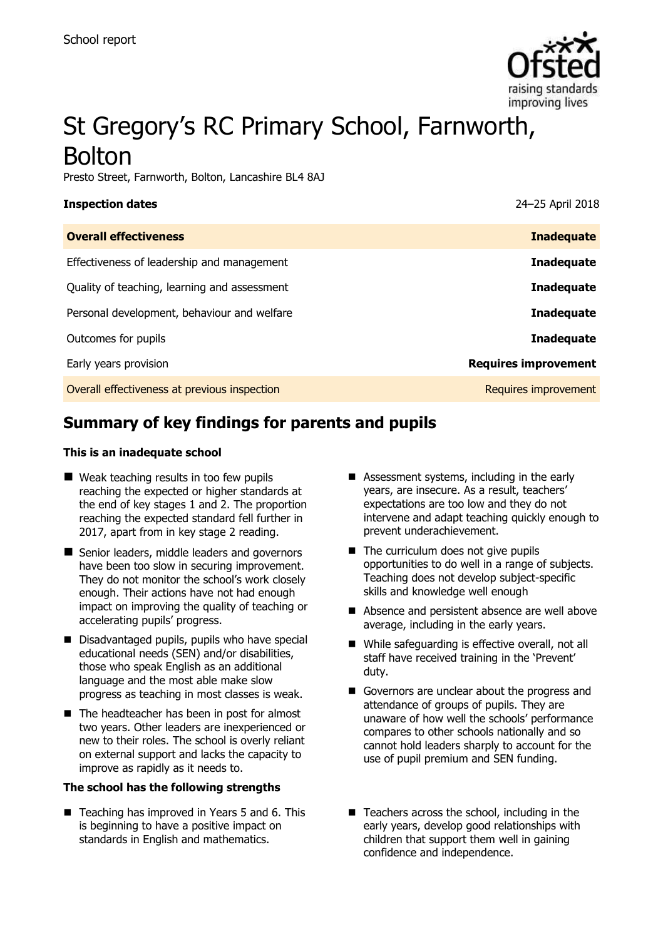

# St Gregory's RC Primary School, Farnworth, Bolton

Presto Street, Farnworth, Bolton, Lancashire BL4 8AJ

| <b>Inspection dates</b>                      | 24-25 April 2018            |
|----------------------------------------------|-----------------------------|
| <b>Overall effectiveness</b>                 | <b>Inadequate</b>           |
| Effectiveness of leadership and management   | <b>Inadequate</b>           |
| Quality of teaching, learning and assessment | <b>Inadequate</b>           |
| Personal development, behaviour and welfare  | <b>Inadequate</b>           |
| Outcomes for pupils                          | <b>Inadequate</b>           |
| Early years provision                        | <b>Requires improvement</b> |
| Overall effectiveness at previous inspection | Requires improvement        |

# **Summary of key findings for parents and pupils**

#### **This is an inadequate school**

- Weak teaching results in too few pupils reaching the expected or higher standards at the end of key stages 1 and 2. The proportion reaching the expected standard fell further in 2017, apart from in key stage 2 reading.
- Senior leaders, middle leaders and governors have been too slow in securing improvement. They do not monitor the school's work closely enough. Their actions have not had enough impact on improving the quality of teaching or accelerating pupils' progress.
- Disadvantaged pupils, pupils who have special educational needs (SEN) and/or disabilities, those who speak English as an additional language and the most able make slow progress as teaching in most classes is weak.
- The headteacher has been in post for almost two years. Other leaders are inexperienced or new to their roles. The school is overly reliant on external support and lacks the capacity to improve as rapidly as it needs to.

#### **The school has the following strengths**

 $\blacksquare$  Teaching has improved in Years 5 and 6. This is beginning to have a positive impact on standards in English and mathematics.

- Assessment systems, including in the early years, are insecure. As a result, teachers' expectations are too low and they do not intervene and adapt teaching quickly enough to prevent underachievement.
- $\blacksquare$  The curriculum does not give pupils opportunities to do well in a range of subjects. Teaching does not develop subject-specific skills and knowledge well enough
- Absence and persistent absence are well above average, including in the early years.
- While safeguarding is effective overall, not all staff have received training in the 'Prevent' duty.
- Governors are unclear about the progress and attendance of groups of pupils. They are unaware of how well the schools' performance compares to other schools nationally and so cannot hold leaders sharply to account for the use of pupil premium and SEN funding.
- $\blacksquare$  Teachers across the school, including in the early years, develop good relationships with children that support them well in gaining confidence and independence.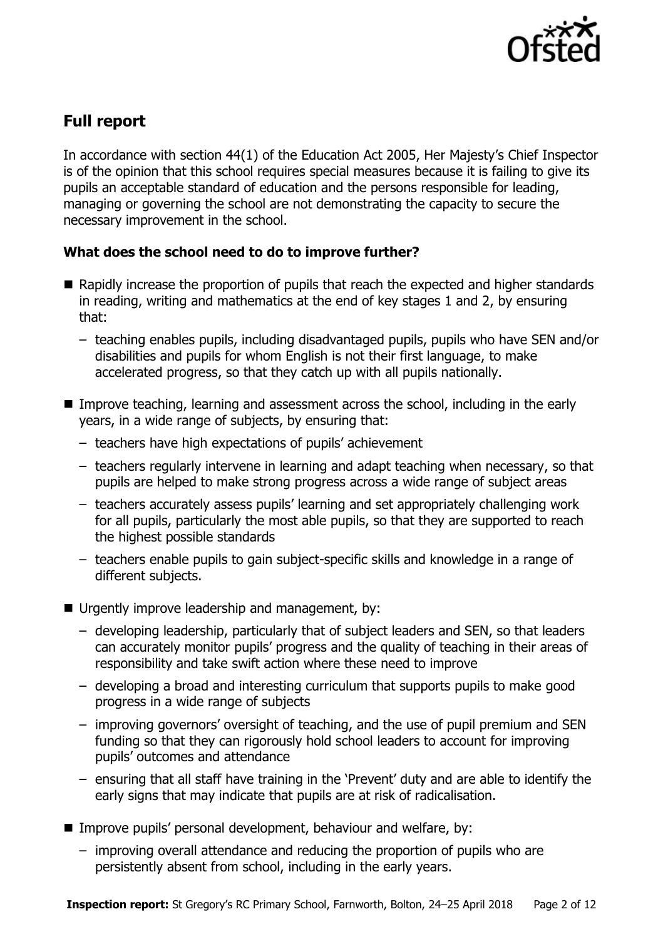

# **Full report**

In accordance with section 44(1) of the Education Act 2005, Her Majesty's Chief Inspector is of the opinion that this school requires special measures because it is failing to give its pupils an acceptable standard of education and the persons responsible for leading, managing or governing the school are not demonstrating the capacity to secure the necessary improvement in the school.

### **What does the school need to do to improve further?**

- Rapidly increase the proportion of pupils that reach the expected and higher standards in reading, writing and mathematics at the end of key stages 1 and 2, by ensuring that:
	- teaching enables pupils, including disadvantaged pupils, pupils who have SEN and/or disabilities and pupils for whom English is not their first language, to make accelerated progress, so that they catch up with all pupils nationally.
- Improve teaching, learning and assessment across the school, including in the early years, in a wide range of subjects, by ensuring that:
	- teachers have high expectations of pupils' achievement
	- teachers regularly intervene in learning and adapt teaching when necessary, so that pupils are helped to make strong progress across a wide range of subject areas
	- teachers accurately assess pupils' learning and set appropriately challenging work for all pupils, particularly the most able pupils, so that they are supported to reach the highest possible standards
	- teachers enable pupils to gain subject-specific skills and knowledge in a range of different subjects.
- Urgently improve leadership and management, by:
	- developing leadership, particularly that of subject leaders and SEN, so that leaders can accurately monitor pupils' progress and the quality of teaching in their areas of responsibility and take swift action where these need to improve
	- developing a broad and interesting curriculum that supports pupils to make good progress in a wide range of subjects
	- improving governors' oversight of teaching, and the use of pupil premium and SEN funding so that they can rigorously hold school leaders to account for improving pupils' outcomes and attendance
	- ensuring that all staff have training in the 'Prevent' duty and are able to identify the early signs that may indicate that pupils are at risk of radicalisation.
- Improve pupils' personal development, behaviour and welfare, by:
	- improving overall attendance and reducing the proportion of pupils who are persistently absent from school, including in the early years.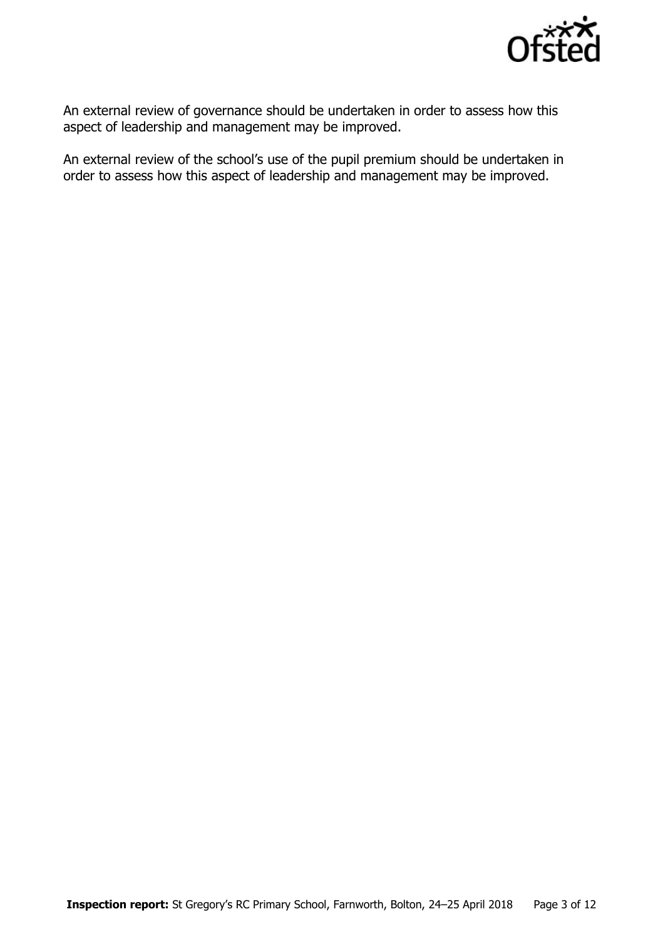

An external review of governance should be undertaken in order to assess how this aspect of leadership and management may be improved.

An external review of the school's use of the pupil premium should be undertaken in order to assess how this aspect of leadership and management may be improved.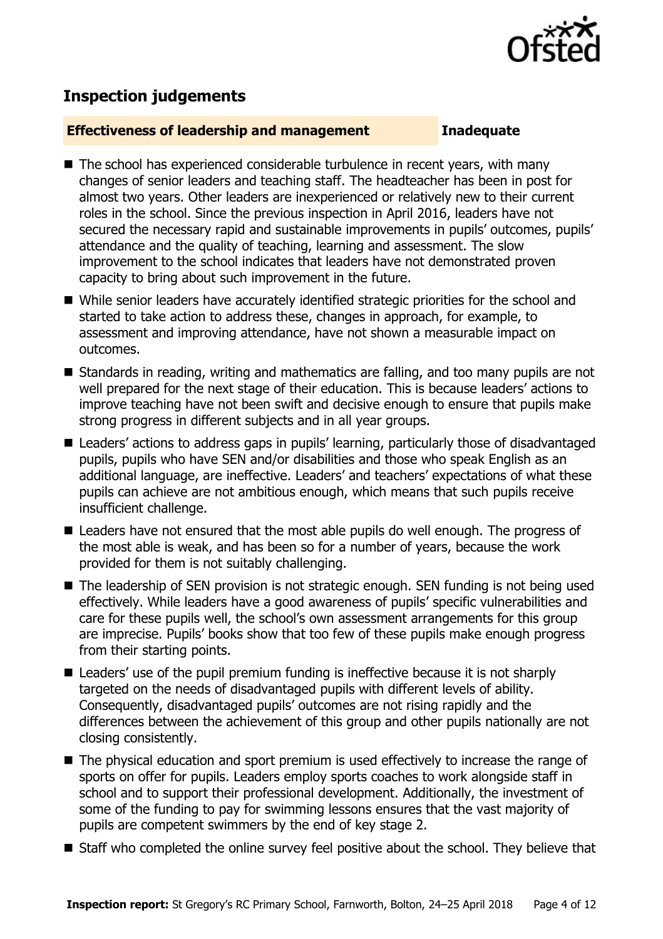

## **Inspection judgements**

#### **Effectiveness of leadership and management Inadequate**

- The school has experienced considerable turbulence in recent years, with many changes of senior leaders and teaching staff. The headteacher has been in post for almost two years. Other leaders are inexperienced or relatively new to their current roles in the school. Since the previous inspection in April 2016, leaders have not secured the necessary rapid and sustainable improvements in pupils' outcomes, pupils' attendance and the quality of teaching, learning and assessment. The slow improvement to the school indicates that leaders have not demonstrated proven capacity to bring about such improvement in the future.
- While senior leaders have accurately identified strategic priorities for the school and started to take action to address these, changes in approach, for example, to assessment and improving attendance, have not shown a measurable impact on outcomes.
- Standards in reading, writing and mathematics are falling, and too many pupils are not well prepared for the next stage of their education. This is because leaders' actions to improve teaching have not been swift and decisive enough to ensure that pupils make strong progress in different subjects and in all year groups.
- Leaders' actions to address gaps in pupils' learning, particularly those of disadvantaged pupils, pupils who have SEN and/or disabilities and those who speak English as an additional language, are ineffective. Leaders' and teachers' expectations of what these pupils can achieve are not ambitious enough, which means that such pupils receive insufficient challenge.
- Leaders have not ensured that the most able pupils do well enough. The progress of the most able is weak, and has been so for a number of years, because the work provided for them is not suitably challenging.
- The leadership of SEN provision is not strategic enough. SEN funding is not being used effectively. While leaders have a good awareness of pupils' specific vulnerabilities and care for these pupils well, the school's own assessment arrangements for this group are imprecise. Pupils' books show that too few of these pupils make enough progress from their starting points.
- Leaders' use of the pupil premium funding is ineffective because it is not sharply targeted on the needs of disadvantaged pupils with different levels of ability. Consequently, disadvantaged pupils' outcomes are not rising rapidly and the differences between the achievement of this group and other pupils nationally are not closing consistently.
- The physical education and sport premium is used effectively to increase the range of sports on offer for pupils. Leaders employ sports coaches to work alongside staff in school and to support their professional development. Additionally, the investment of some of the funding to pay for swimming lessons ensures that the vast majority of pupils are competent swimmers by the end of key stage 2.
- Staff who completed the online survey feel positive about the school. They believe that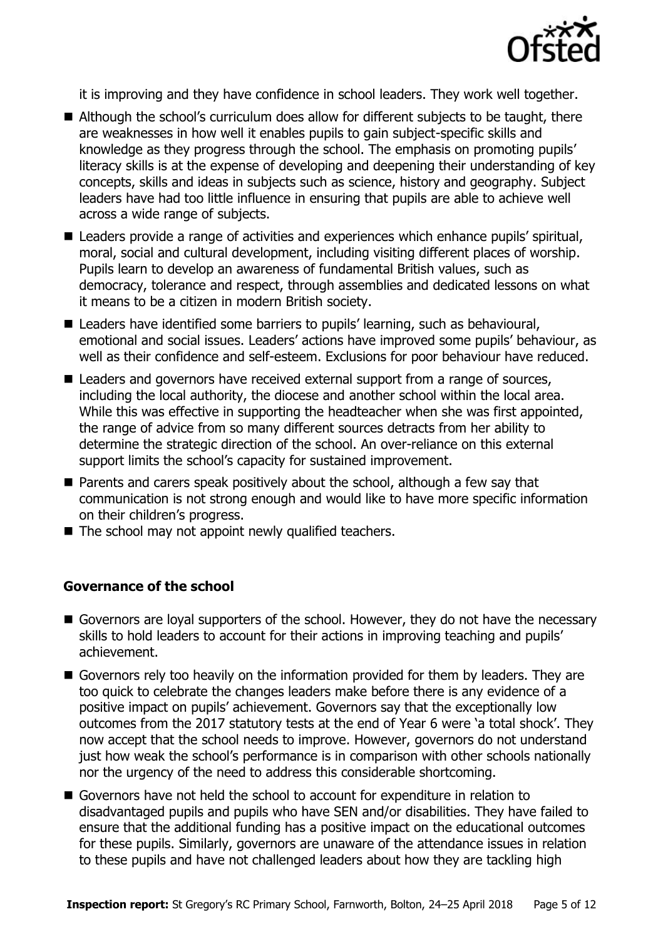

it is improving and they have confidence in school leaders. They work well together.

- Although the school's curriculum does allow for different subjects to be taught, there are weaknesses in how well it enables pupils to gain subject-specific skills and knowledge as they progress through the school. The emphasis on promoting pupils' literacy skills is at the expense of developing and deepening their understanding of key concepts, skills and ideas in subjects such as science, history and geography. Subject leaders have had too little influence in ensuring that pupils are able to achieve well across a wide range of subjects.
- Leaders provide a range of activities and experiences which enhance pupils' spiritual, moral, social and cultural development, including visiting different places of worship. Pupils learn to develop an awareness of fundamental British values, such as democracy, tolerance and respect, through assemblies and dedicated lessons on what it means to be a citizen in modern British society.
- Leaders have identified some barriers to pupils' learning, such as behavioural, emotional and social issues. Leaders' actions have improved some pupils' behaviour, as well as their confidence and self-esteem. Exclusions for poor behaviour have reduced.
- Leaders and governors have received external support from a range of sources, including the local authority, the diocese and another school within the local area. While this was effective in supporting the headteacher when she was first appointed, the range of advice from so many different sources detracts from her ability to determine the strategic direction of the school. An over-reliance on this external support limits the school's capacity for sustained improvement.
- **Parents and carers speak positively about the school, although a few say that** communication is not strong enough and would like to have more specific information on their children's progress.
- The school may not appoint newly qualified teachers.

### **Governance of the school**

- Governors are loyal supporters of the school. However, they do not have the necessary skills to hold leaders to account for their actions in improving teaching and pupils' achievement.
- Governors rely too heavily on the information provided for them by leaders. They are too quick to celebrate the changes leaders make before there is any evidence of a positive impact on pupils' achievement. Governors say that the exceptionally low outcomes from the 2017 statutory tests at the end of Year 6 were 'a total shock'. They now accept that the school needs to improve. However, governors do not understand just how weak the school's performance is in comparison with other schools nationally nor the urgency of the need to address this considerable shortcoming.
- Governors have not held the school to account for expenditure in relation to disadvantaged pupils and pupils who have SEN and/or disabilities. They have failed to ensure that the additional funding has a positive impact on the educational outcomes for these pupils. Similarly, governors are unaware of the attendance issues in relation to these pupils and have not challenged leaders about how they are tackling high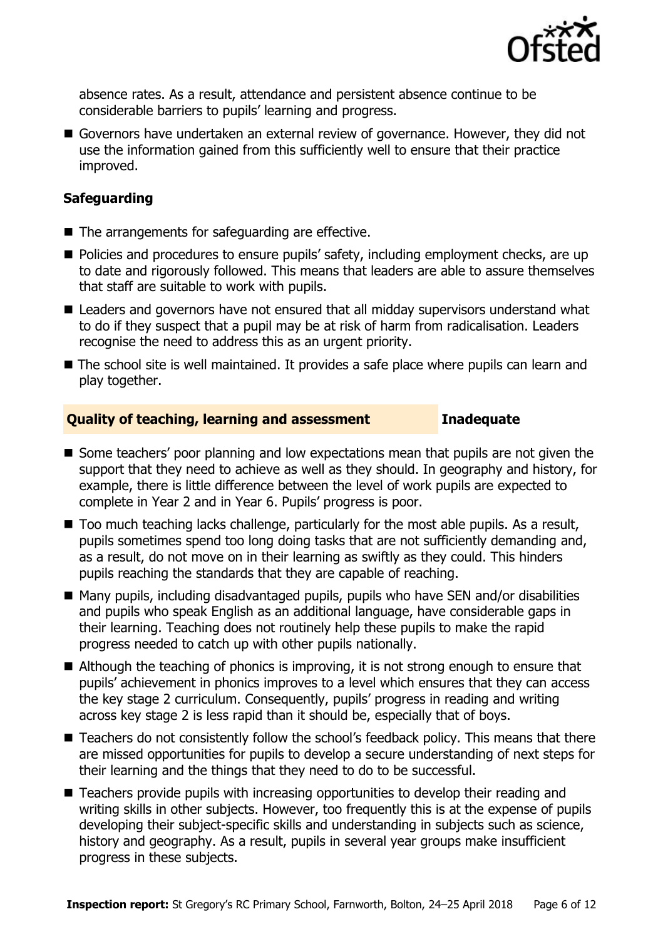

absence rates. As a result, attendance and persistent absence continue to be considerable barriers to pupils' learning and progress.

Governors have undertaken an external review of governance. However, they did not use the information gained from this sufficiently well to ensure that their practice improved.

### **Safeguarding**

- The arrangements for safeguarding are effective.
- **Policies and procedures to ensure pupils' safety, including employment checks, are up** to date and rigorously followed. This means that leaders are able to assure themselves that staff are suitable to work with pupils.
- Leaders and governors have not ensured that all midday supervisors understand what to do if they suspect that a pupil may be at risk of harm from radicalisation. Leaders recognise the need to address this as an urgent priority.
- The school site is well maintained. It provides a safe place where pupils can learn and play together.

#### **Quality of teaching, learning and assessment Inadequate**

- Some teachers' poor planning and low expectations mean that pupils are not given the support that they need to achieve as well as they should. In geography and history, for example, there is little difference between the level of work pupils are expected to complete in Year 2 and in Year 6. Pupils' progress is poor.
- Too much teaching lacks challenge, particularly for the most able pupils. As a result, pupils sometimes spend too long doing tasks that are not sufficiently demanding and, as a result, do not move on in their learning as swiftly as they could. This hinders pupils reaching the standards that they are capable of reaching.
- Many pupils, including disadvantaged pupils, pupils who have SEN and/or disabilities and pupils who speak English as an additional language, have considerable gaps in their learning. Teaching does not routinely help these pupils to make the rapid progress needed to catch up with other pupils nationally.
- Although the teaching of phonics is improving, it is not strong enough to ensure that pupils' achievement in phonics improves to a level which ensures that they can access the key stage 2 curriculum. Consequently, pupils' progress in reading and writing across key stage 2 is less rapid than it should be, especially that of boys.
- Teachers do not consistently follow the school's feedback policy. This means that there are missed opportunities for pupils to develop a secure understanding of next steps for their learning and the things that they need to do to be successful.
- Teachers provide pupils with increasing opportunities to develop their reading and writing skills in other subjects. However, too frequently this is at the expense of pupils developing their subject-specific skills and understanding in subjects such as science, history and geography. As a result, pupils in several year groups make insufficient progress in these subjects.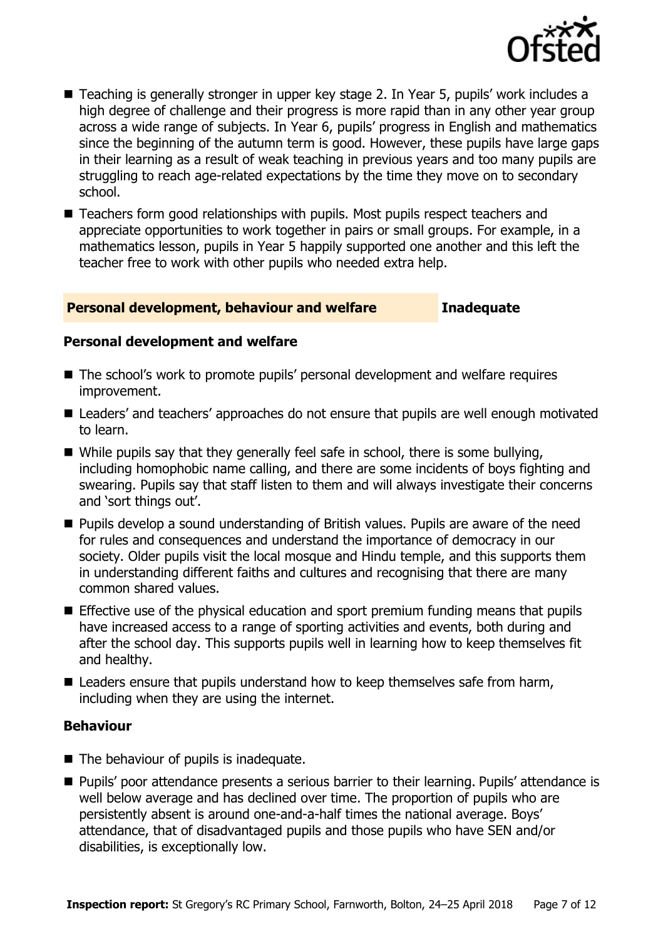

- Teaching is generally stronger in upper key stage 2. In Year 5, pupils' work includes a high degree of challenge and their progress is more rapid than in any other year group across a wide range of subjects. In Year 6, pupils' progress in English and mathematics since the beginning of the autumn term is good. However, these pupils have large gaps in their learning as a result of weak teaching in previous years and too many pupils are struggling to reach age-related expectations by the time they move on to secondary school.
- Teachers form good relationships with pupils. Most pupils respect teachers and appreciate opportunities to work together in pairs or small groups. For example, in a mathematics lesson, pupils in Year 5 happily supported one another and this left the teacher free to work with other pupils who needed extra help.

#### **Personal development, behaviour and welfare Inadequate**

#### **Personal development and welfare**

- The school's work to promote pupils' personal development and welfare requires improvement.
- Leaders' and teachers' approaches do not ensure that pupils are well enough motivated to learn.
- While pupils say that they generally feel safe in school, there is some bullying, including homophobic name calling, and there are some incidents of boys fighting and swearing. Pupils say that staff listen to them and will always investigate their concerns and 'sort things out'.
- **Pupils develop a sound understanding of British values. Pupils are aware of the need** for rules and consequences and understand the importance of democracy in our society. Older pupils visit the local mosque and Hindu temple, and this supports them in understanding different faiths and cultures and recognising that there are many common shared values.
- Effective use of the physical education and sport premium funding means that pupils have increased access to a range of sporting activities and events, both during and after the school day. This supports pupils well in learning how to keep themselves fit and healthy.
- Leaders ensure that pupils understand how to keep themselves safe from harm, including when they are using the internet.

#### **Behaviour**

- The behaviour of pupils is inadequate.
- Pupils' poor attendance presents a serious barrier to their learning. Pupils' attendance is well below average and has declined over time. The proportion of pupils who are persistently absent is around one-and-a-half times the national average. Boys' attendance, that of disadvantaged pupils and those pupils who have SEN and/or disabilities, is exceptionally low.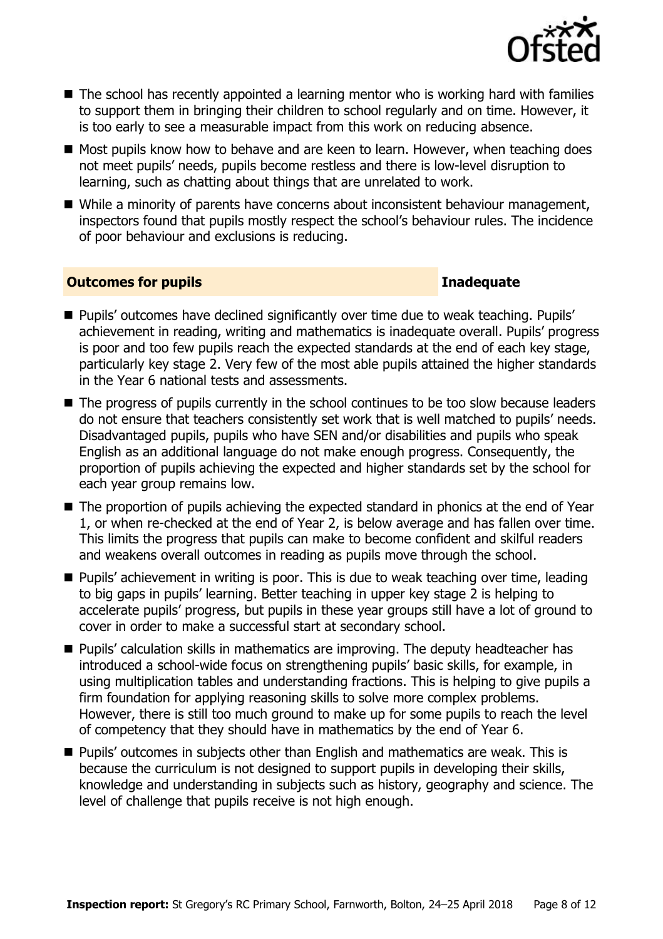

- The school has recently appointed a learning mentor who is working hard with families to support them in bringing their children to school regularly and on time. However, it is too early to see a measurable impact from this work on reducing absence.
- Most pupils know how to behave and are keen to learn. However, when teaching does not meet pupils' needs, pupils become restless and there is low-level disruption to learning, such as chatting about things that are unrelated to work.
- While a minority of parents have concerns about inconsistent behaviour management, inspectors found that pupils mostly respect the school's behaviour rules. The incidence of poor behaviour and exclusions is reducing.

#### **Outcomes for pupils Inadequate Inadequate**

- Pupils' outcomes have declined significantly over time due to weak teaching. Pupils' achievement in reading, writing and mathematics is inadequate overall. Pupils' progress is poor and too few pupils reach the expected standards at the end of each key stage, particularly key stage 2. Very few of the most able pupils attained the higher standards in the Year 6 national tests and assessments.
- The progress of pupils currently in the school continues to be too slow because leaders do not ensure that teachers consistently set work that is well matched to pupils' needs. Disadvantaged pupils, pupils who have SEN and/or disabilities and pupils who speak English as an additional language do not make enough progress. Consequently, the proportion of pupils achieving the expected and higher standards set by the school for each year group remains low.
- The proportion of pupils achieving the expected standard in phonics at the end of Year 1, or when re-checked at the end of Year 2, is below average and has fallen over time. This limits the progress that pupils can make to become confident and skilful readers and weakens overall outcomes in reading as pupils move through the school.
- Pupils' achievement in writing is poor. This is due to weak teaching over time, leading to big gaps in pupils' learning. Better teaching in upper key stage 2 is helping to accelerate pupils' progress, but pupils in these year groups still have a lot of ground to cover in order to make a successful start at secondary school.
- **Pupils'** calculation skills in mathematics are improving. The deputy headteacher has introduced a school-wide focus on strengthening pupils' basic skills, for example, in using multiplication tables and understanding fractions. This is helping to give pupils a firm foundation for applying reasoning skills to solve more complex problems. However, there is still too much ground to make up for some pupils to reach the level of competency that they should have in mathematics by the end of Year 6.
- **Pupils' outcomes in subjects other than English and mathematics are weak. This is** because the curriculum is not designed to support pupils in developing their skills, knowledge and understanding in subjects such as history, geography and science. The level of challenge that pupils receive is not high enough.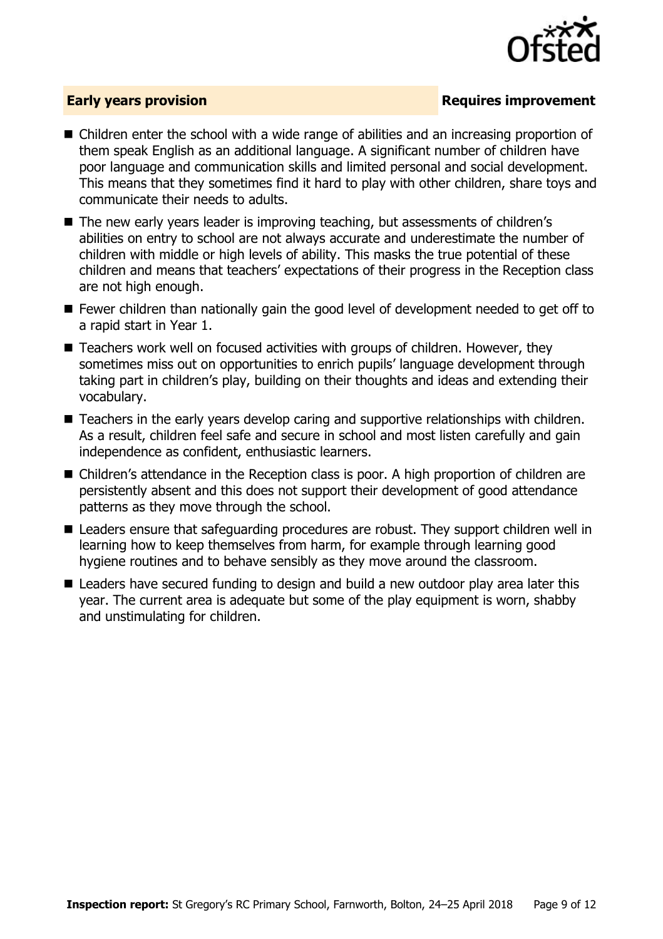

### **Early years provision**

- Children enter the school with a wide range of abilities and an increasing proportion of them speak English as an additional language. A significant number of children have poor language and communication skills and limited personal and social development. This means that they sometimes find it hard to play with other children, share toys and communicate their needs to adults.
- The new early years leader is improving teaching, but assessments of children's abilities on entry to school are not always accurate and underestimate the number of children with middle or high levels of ability. This masks the true potential of these children and means that teachers' expectations of their progress in the Reception class are not high enough.
- Fewer children than nationally gain the good level of development needed to get off to a rapid start in Year 1.
- Teachers work well on focused activities with groups of children. However, they sometimes miss out on opportunities to enrich pupils' language development through taking part in children's play, building on their thoughts and ideas and extending their vocabulary.
- Teachers in the early years develop caring and supportive relationships with children. As a result, children feel safe and secure in school and most listen carefully and gain independence as confident, enthusiastic learners.
- Children's attendance in the Reception class is poor. A high proportion of children are persistently absent and this does not support their development of good attendance patterns as they move through the school.
- Leaders ensure that safeguarding procedures are robust. They support children well in learning how to keep themselves from harm, for example through learning good hygiene routines and to behave sensibly as they move around the classroom.
- Leaders have secured funding to design and build a new outdoor play area later this year. The current area is adequate but some of the play equipment is worn, shabby and unstimulating for children.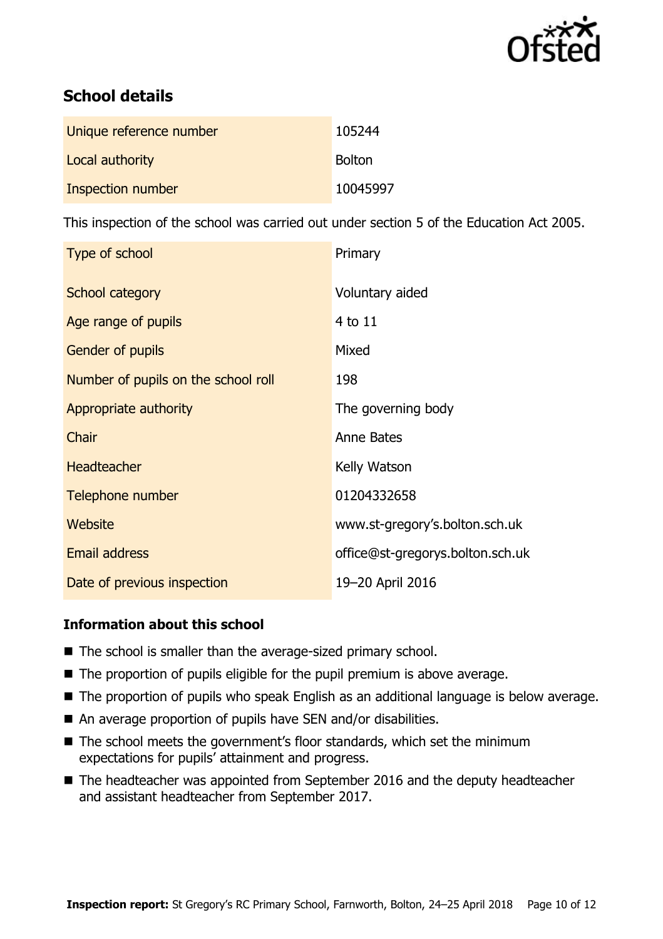

# **School details**

| Unique reference number | 105244        |
|-------------------------|---------------|
| Local authority         | <b>Bolton</b> |
| Inspection number       | 10045997      |

This inspection of the school was carried out under section 5 of the Education Act 2005.

| Type of school                      | Primary                          |
|-------------------------------------|----------------------------------|
| School category                     | Voluntary aided                  |
| Age range of pupils                 | 4 to 11                          |
| Gender of pupils                    | Mixed                            |
| Number of pupils on the school roll | 198                              |
| Appropriate authority               | The governing body               |
| Chair                               | Anne Bates                       |
| <b>Headteacher</b>                  | Kelly Watson                     |
| Telephone number                    | 01204332658                      |
| Website                             | www.st-gregory's.bolton.sch.uk   |
| <b>Email address</b>                | office@st-gregorys.bolton.sch.uk |
| Date of previous inspection         | 19-20 April 2016                 |

### **Information about this school**

- The school is smaller than the average-sized primary school.
- $\blacksquare$  The proportion of pupils eligible for the pupil premium is above average.
- The proportion of pupils who speak English as an additional language is below average.
- An average proportion of pupils have SEN and/or disabilities.
- The school meets the government's floor standards, which set the minimum expectations for pupils' attainment and progress.
- The headteacher was appointed from September 2016 and the deputy headteacher and assistant headteacher from September 2017.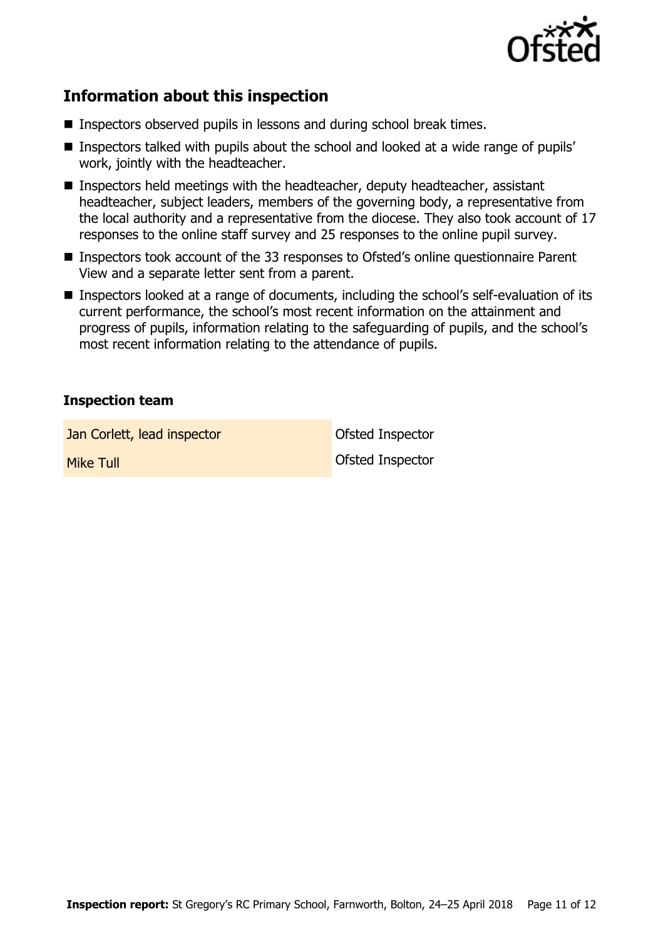

# **Information about this inspection**

- Inspectors observed pupils in lessons and during school break times.
- Inspectors talked with pupils about the school and looked at a wide range of pupils' work, jointly with the headteacher.
- Inspectors held meetings with the headteacher, deputy headteacher, assistant headteacher, subject leaders, members of the governing body, a representative from the local authority and a representative from the diocese. They also took account of 17 responses to the online staff survey and 25 responses to the online pupil survey.
- Inspectors took account of the 33 responses to Ofsted's online questionnaire Parent View and a separate letter sent from a parent.
- Inspectors looked at a range of documents, including the school's self-evaluation of its current performance, the school's most recent information on the attainment and progress of pupils, information relating to the safeguarding of pupils, and the school's most recent information relating to the attendance of pupils.

#### **Inspection team**

**Jan Corlett, lead inspector Constanting Constanting Constanting Constanting Constanting Constanting Constanting Constanting Constanting Constanting Constanting Constanting Constanting Constanting Constanting Constanting** 

**Mike Tull Contract Contract Contract Contract Contract Contract Contract Contract Contract Contract Contract Contract Contract Contract Contract Contract Contract Contract Contract Contract Contract Contract Contract Cont**